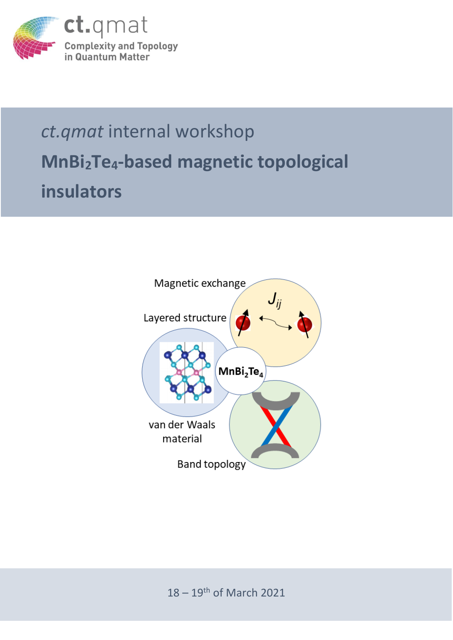

## *ct.qmat* internal workshop **MnBi2Te4-based magnetic topological insulators**